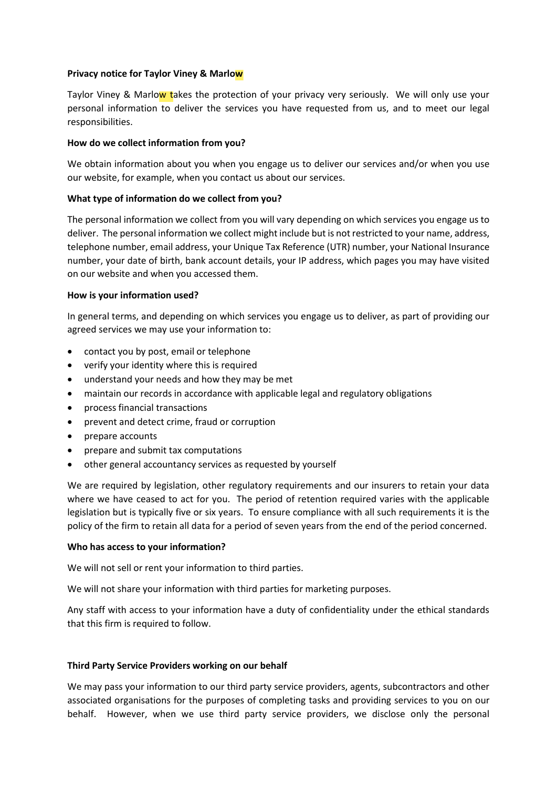## **Privacy notice for Taylor Viney & Marlow**

Taylor Viney & Marlow takes the protection of your privacy very seriously. We will only use your personal information to deliver the services you have requested from us, and to meet our legal responsibilities.

# **How do we collect information from you?**

We obtain information about you when you engage us to deliver our services and/or when you use our website, for example, when you contact us about our services.

## **What type of information do we collect from you?**

The personal information we collect from you will vary depending on which services you engage us to deliver. The personal information we collect might include but is not restricted to your name, address, telephone number, email address, your Unique Tax Reference (UTR) number, your National Insurance number, your date of birth, bank account details, your IP address, which pages you may have visited on our website and when you accessed them.

## **How is your information used?**

In general terms, and depending on which services you engage us to deliver, as part of providing our agreed services we may use your information to:

- contact you by post, email or telephone
- verify your identity where this is required
- understand your needs and how they may be met
- maintain our records in accordance with applicable legal and regulatory obligations
- process financial transactions
- prevent and detect crime, fraud or corruption
- prepare accounts
- prepare and submit tax computations
- other general accountancy services as requested by yourself

We are required by legislation, other regulatory requirements and our insurers to retain your data where we have ceased to act for you. The period of retention required varies with the applicable legislation but is typically five or six years. To ensure compliance with all such requirements it is the policy of the firm to retain all data for a period of seven years from the end of the period concerned.

### **Who has access to your information?**

We will not sell or rent your information to third parties.

We will not share your information with third parties for marketing purposes.

Any staff with access to your information have a duty of confidentiality under the ethical standards that this firm is required to follow.

### **Third Party Service Providers working on our behalf**

We may pass your information to our third party service providers, agents, subcontractors and other associated organisations for the purposes of completing tasks and providing services to you on our behalf. However, when we use third party service providers, we disclose only the personal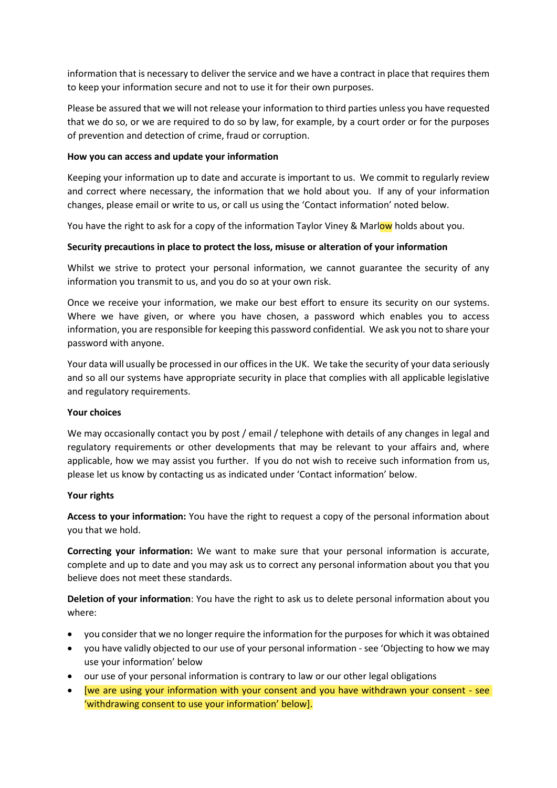information that is necessary to deliver the service and we have a contract in place that requires them to keep your information secure and not to use it for their own purposes.

Please be assured that we will not release your information to third parties unless you have requested that we do so, or we are required to do so by law, for example, by a court order or for the purposes of prevention and detection of crime, fraud or corruption.

# **How you can access and update your information**

Keeping your information up to date and accurate is important to us. We commit to regularly review and correct where necessary, the information that we hold about you. If any of your information changes, please email or write to us, or call us using the 'Contact information' noted below.

You have the right to ask for a copy of the information Taylor Viney & Marlow holds about you.

# **Security precautions in place to protect the loss, misuse or alteration of your information**

Whilst we strive to protect your personal information, we cannot guarantee the security of any information you transmit to us, and you do so at your own risk.

Once we receive your information, we make our best effort to ensure its security on our systems. Where we have given, or where you have chosen, a password which enables you to access information, you are responsible for keeping this password confidential. We ask you not to share your password with anyone.

Your data will usually be processed in our offices in the UK. We take the security of your data seriously and so all our systems have appropriate security in place that complies with all applicable legislative and regulatory requirements.

# **Your choices**

We may occasionally contact you by post / email / telephone with details of any changes in legal and regulatory requirements or other developments that may be relevant to your affairs and, where applicable, how we may assist you further. If you do not wish to receive such information from us, please let us know by contacting us as indicated under 'Contact information' below.

# **Your rights**

**Access to your information:** You have the right to request a copy of the personal information about you that we hold.

**Correcting your information:** We want to make sure that your personal information is accurate, complete and up to date and you may ask us to correct any personal information about you that you believe does not meet these standards.

**Deletion of your information**: You have the right to ask us to delete personal information about you where:

- you consider that we no longer require the information for the purposes for which it was obtained
- you have validly objected to our use of your personal information see 'Objecting to how we may use your information' below
- our use of your personal information is contrary to law or our other legal obligations
- [we are using your information with your consent and you have withdrawn your consent see 'withdrawing consent to use your information' below].